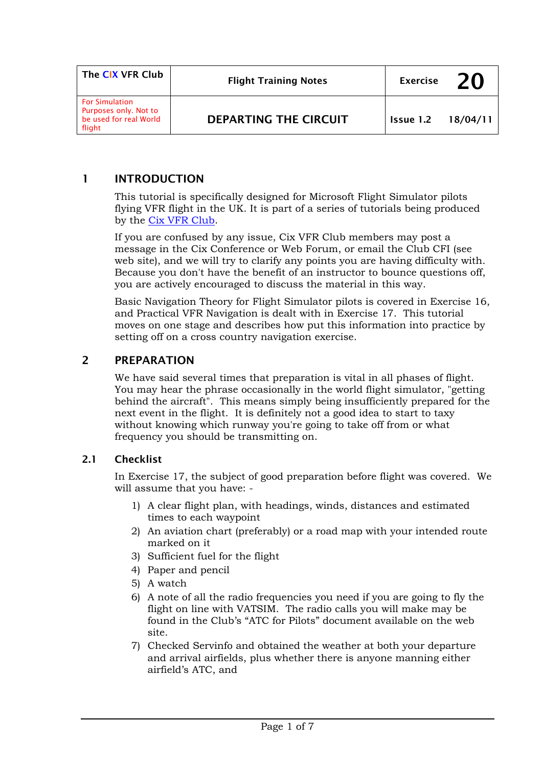| The CIX VFR Club                                                                   | <b>Flight Training Notes</b> | <b>Exercise</b> | 20       |
|------------------------------------------------------------------------------------|------------------------------|-----------------|----------|
| <b>For Simulation</b><br>Purposes only. Not to<br>be used for real World<br>flight | <b>DEPARTING THE CIRCUIT</b> | Issue 1.2       | 18/04/11 |

## 1 INTRODUCTION

This tutorial is specifically designed for Microsoft Flight Simulator pilots flying VFR flight in the UK. It is part of a series of tutorials being produced by the [Cix VFR Club.](http://www.cixvfrclub.org.uk/)

If you are confused by any issue, Cix VFR Club members may post a message in the Cix Conference or Web Forum, or email the Club CFI (see web site), and we will try to clarify any points you are having difficulty with. Because you don't have the benefit of an instructor to bounce questions off, you are actively encouraged to discuss the material in this way.

Basic Navigation Theory for Flight Simulator pilots is covered in Exercise 16, and Practical VFR Navigation is dealt with in Exercise 17. This tutorial moves on one stage and describes how put this information into practice by setting off on a cross country navigation exercise.

## 2 PREPARATION

We have said several times that preparation is vital in all phases of flight. You may hear the phrase occasionally in the world flight simulator, "getting behind the aircraft". This means simply being insufficiently prepared for the next event in the flight. It is definitely not a good idea to start to taxy without knowing which runway you're going to take off from or what frequency you should be transmitting on.

#### 2.1 Checklist

In Exercise 17, the subject of good preparation before flight was covered. We will assume that you have: -

- 1) A clear flight plan, with headings, winds, distances and estimated times to each waypoint
- 2) An aviation chart (preferably) or a road map with your intended route marked on it
- 3) Sufficient fuel for the flight
- 4) Paper and pencil
- 5) A watch
- 6) A note of all the radio frequencies you need if you are going to fly the flight on line with VATSIM. The radio calls you will make may be found in the Club's "ATC for Pilots" document available on the web site.
- 7) Checked Servinfo and obtained the weather at both your departure and arrival airfields, plus whether there is anyone manning either airfield's ATC, and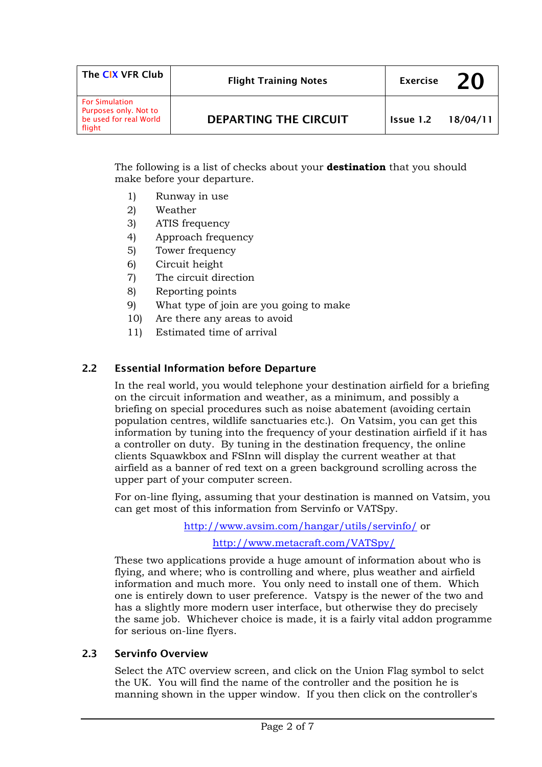| The CIX VFR Club                                                                   | <b>Flight Training Notes</b> | <b>Exercise</b>  | 20       |
|------------------------------------------------------------------------------------|------------------------------|------------------|----------|
| <b>For Simulation</b><br>Purposes only. Not to<br>be used for real World<br>flight | DEPARTING THE CIRCUIT        | <b>Issue 1.2</b> | 18/04/11 |

The following is a list of checks about your **destination** that you should make before your departure.

- 1) Runway in use
- 2) Weather
- 3) ATIS frequency
- 4) Approach frequency
- 5) Tower frequency
- 6) Circuit height
- 7) The circuit direction
- 8) Reporting points
- 9) What type of join are you going to make
- 10) Are there any areas to avoid
- 11) Estimated time of arrival

## 2.2 Essential Information before Departure

In the real world, you would telephone your destination airfield for a briefing on the circuit information and weather, as a minimum, and possibly a briefing on special procedures such as noise abatement (avoiding certain population centres, wildlife sanctuaries etc.). On Vatsim, you can get this information by tuning into the frequency of your destination airfield if it has a controller on duty. By tuning in the destination frequency, the online clients Squawkbox and FSInn will display the current weather at that airfield as a banner of red text on a green background scrolling across the upper part of your computer screen.

For on-line flying, assuming that your destination is manned on Vatsim, you can get most of this information from Servinfo or VATSpy.

> <http://www.avsim.com/hangar/utils/servinfo/>or <http://www.metacraft.com/VATSpy/>

These two applications provide a huge amount of information about who is flying, and where; who is controlling and where, plus weather and airfield information and much more. You only need to install one of them. Which one is entirely down to user preference. Vatspy is the newer of the two and has a slightly more modern user interface, but otherwise they do precisely the same job. Whichever choice is made, it is a fairly vital addon programme for serious on-line flyers.

#### 2.3 Servinfo Overview

Select the ATC overview screen, and click on the Union Flag symbol to selct the UK. You will find the name of the controller and the position he is manning shown in the upper window. If you then click on the controller's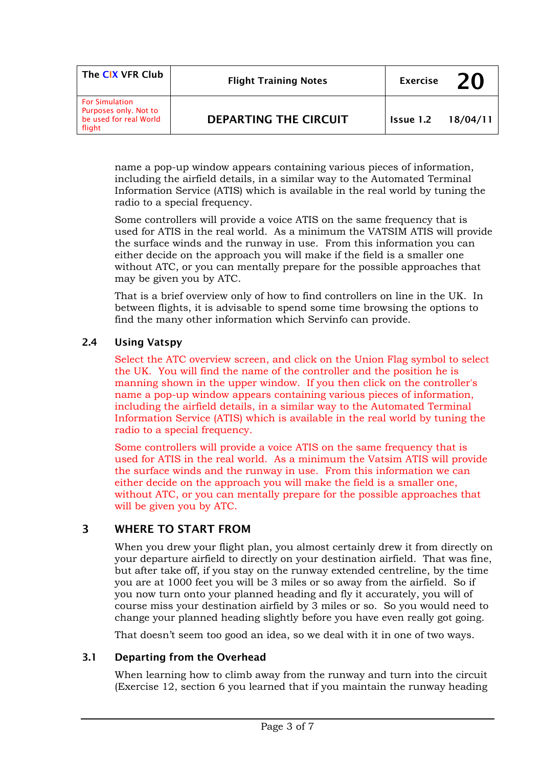| The CIX VFR Club                                                                   | <b>Flight Training Notes</b> | <b>Exercise</b>  | 20       |
|------------------------------------------------------------------------------------|------------------------------|------------------|----------|
| <b>For Simulation</b><br>Purposes only. Not to<br>be used for real World<br>flight | DEPARTING THE CIRCUIT        | <b>Issue 1.2</b> | 18/04/11 |

name a pop-up window appears containing various pieces of information, including the airfield details, in a similar way to the Automated Terminal Information Service (ATIS) which is available in the real world by tuning the radio to a special frequency.

Some controllers will provide a voice ATIS on the same frequency that is used for ATIS in the real world. As a minimum the VATSIM ATIS will provide the surface winds and the runway in use. From this information you can either decide on the approach you will make if the field is a smaller one without ATC, or you can mentally prepare for the possible approaches that may be given you by ATC.

That is a brief overview only of how to find controllers on line in the UK. In between flights, it is advisable to spend some time browsing the options to find the many other information which Servinfo can provide.

## 2.4 Using Vatspy

Select the ATC overview screen, and click on the Union Flag symbol to select the UK. You will find the name of the controller and the position he is manning shown in the upper window. If you then click on the controller's name a pop-up window appears containing various pieces of information, including the airfield details, in a similar way to the Automated Terminal Information Service (ATIS) which is available in the real world by tuning the radio to a special frequency.

Some controllers will provide a voice ATIS on the same frequency that is used for ATIS in the real world. As a minimum the Vatsim ATIS will provide the surface winds and the runway in use. From this information we can either decide on the approach you will make the field is a smaller one, without ATC, or you can mentally prepare for the possible approaches that will be given you by ATC.

## 3 WHERE TO START FROM

When you drew your flight plan, you almost certainly drew it from directly on your departure airfield to directly on your destination airfield. That was fine, but after take off, if you stay on the runway extended centreline, by the time you are at 1000 feet you will be 3 miles or so away from the airfield. So if you now turn onto your planned heading and fly it accurately, you will of course miss your destination airfield by 3 miles or so. So you would need to change your planned heading slightly before you have even really got going.

That doesn't seem too good an idea, so we deal with it in one of two ways.

#### 3.1 Departing from the Overhead

When learning how to climb away from the runway and turn into the circuit (Exercise 12, section 6 you learned that if you maintain the runway heading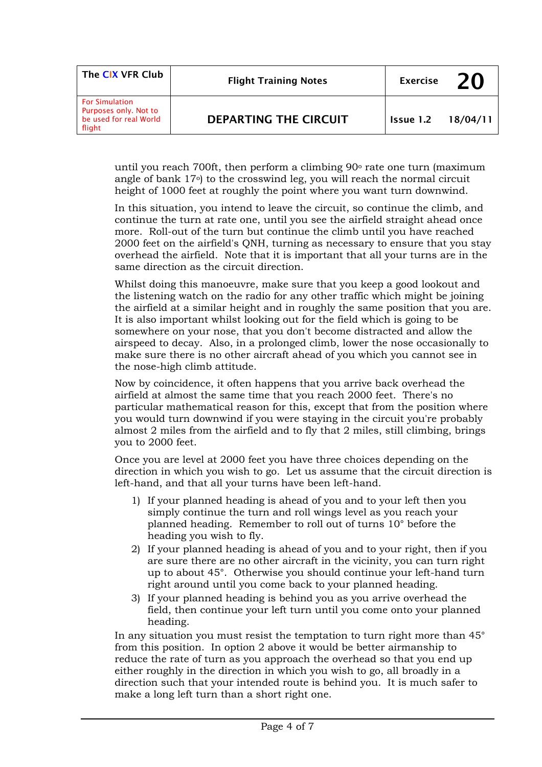| The CIX VFR Club                                                                   | <b>Flight Training Notes</b> | <b>Exercise</b>  | 70       |
|------------------------------------------------------------------------------------|------------------------------|------------------|----------|
| <b>For Simulation</b><br>Purposes only. Not to<br>be used for real World<br>flight | DEPARTING THE CIRCUIT        | <b>Issue 1.2</b> | 18/04/11 |

until you reach 700ft, then perform a climbing  $90^\circ$  rate one turn (maximum angle of bank 17o) to the crosswind leg, you will reach the normal circuit height of 1000 feet at roughly the point where you want turn downwind.

In this situation, you intend to leave the circuit, so continue the climb, and continue the turn at rate one, until you see the airfield straight ahead once more. Roll-out of the turn but continue the climb until you have reached 2000 feet on the airfield's QNH, turning as necessary to ensure that you stay overhead the airfield. Note that it is important that all your turns are in the same direction as the circuit direction.

Whilst doing this manoeuvre, make sure that you keep a good lookout and the listening watch on the radio for any other traffic which might be joining the airfield at a similar height and in roughly the same position that you are. It is also important whilst looking out for the field which is going to be somewhere on your nose, that you don't become distracted and allow the airspeed to decay. Also, in a prolonged climb, lower the nose occasionally to make sure there is no other aircraft ahead of you which you cannot see in the nose-high climb attitude.

Now by coincidence, it often happens that you arrive back overhead the airfield at almost the same time that you reach 2000 feet. There's no particular mathematical reason for this, except that from the position where you would turn downwind if you were staying in the circuit you're probably almost 2 miles from the airfield and to fly that 2 miles, still climbing, brings you to 2000 feet.

Once you are level at 2000 feet you have three choices depending on the direction in which you wish to go. Let us assume that the circuit direction is left-hand, and that all your turns have been left-hand.

- 1) If your planned heading is ahead of you and to your left then you simply continue the turn and roll wings level as you reach your planned heading. Remember to roll out of turns 10° before the heading you wish to fly.
- 2) If your planned heading is ahead of you and to your right, then if you are sure there are no other aircraft in the vicinity, you can turn right up to about 45°. Otherwise you should continue your left-hand turn right around until you come back to your planned heading.
- 3) If your planned heading is behind you as you arrive overhead the field, then continue your left turn until you come onto your planned heading.

In any situation you must resist the temptation to turn right more than 45° from this position. In option 2 above it would be better airmanship to reduce the rate of turn as you approach the overhead so that you end up either roughly in the direction in which you wish to go, all broadly in a direction such that your intended route is behind you. It is much safer to make a long left turn than a short right one.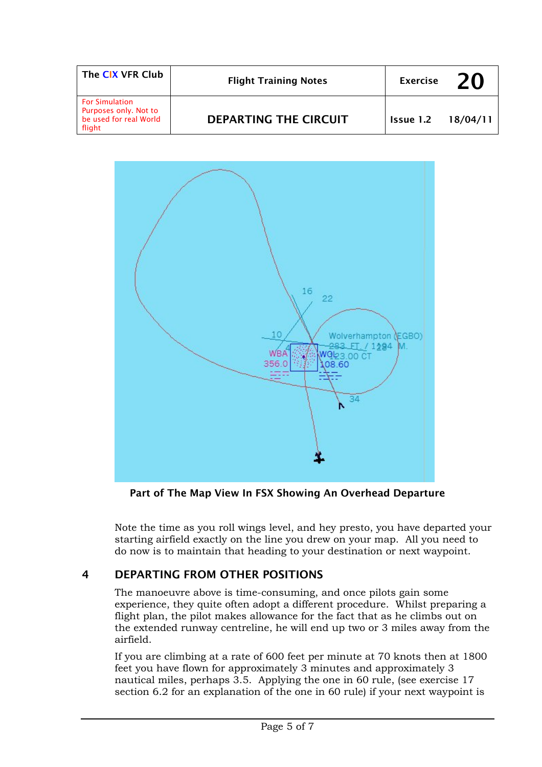| The CIX VFR Club                                                                   | <b>Flight Training Notes</b> | <b>Exercise</b> | 20       |
|------------------------------------------------------------------------------------|------------------------------|-----------------|----------|
| <b>For Simulation</b><br>Purposes only. Not to<br>be used for real World<br>flight | DEPARTING THE CIRCUIT        | Issue 1.2       | 18/04/11 |



Part of The Map View In FSX Showing An Overhead Departure

Note the time as you roll wings level, and hey presto, you have departed your starting airfield exactly on the line you drew on your map. All you need to do now is to maintain that heading to your destination or next waypoint.

# 4 DEPARTING FROM OTHER POSITIONS

The manoeuvre above is time-consuming, and once pilots gain some experience, they quite often adopt a different procedure. Whilst preparing a flight plan, the pilot makes allowance for the fact that as he climbs out on the extended runway centreline, he will end up two or 3 miles away from the airfield.

If you are climbing at a rate of 600 feet per minute at 70 knots then at 1800 feet you have flown for approximately 3 minutes and approximately 3 nautical miles, perhaps 3.5. Applying the one in 60 rule, (see exercise 17 section 6.2 for an explanation of the one in 60 rule) if your next waypoint is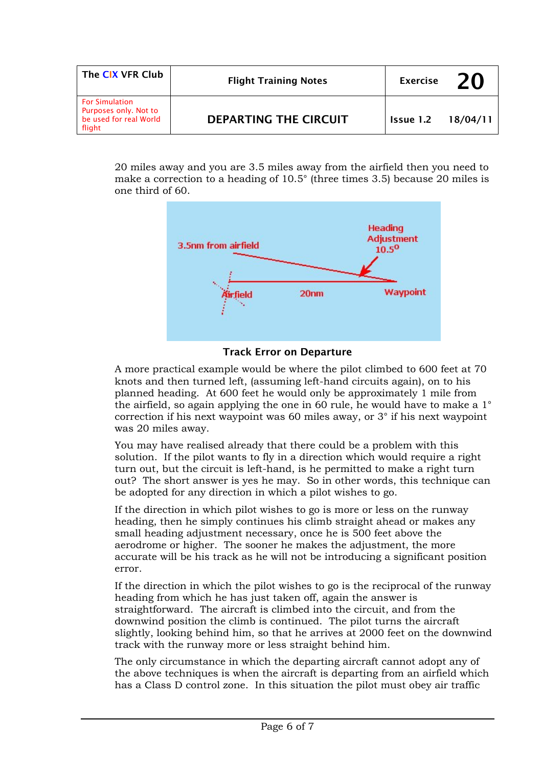| The CIX VFR Club                                                                   | <b>Flight Training Notes</b> | <b>Exercise</b> | 20       |
|------------------------------------------------------------------------------------|------------------------------|-----------------|----------|
| <b>For Simulation</b><br>Purposes only. Not to<br>be used for real World<br>flight | DEPARTING THE CIRCUIT        | Issue 1.2       | 18/04/11 |

20 miles away and you are 3.5 miles away from the airfield then you need to make a correction to a heading of 10.5° (three times 3.5) because 20 miles is one third of 60.



#### Track Error on Departure

A more practical example would be where the pilot climbed to 600 feet at 70 knots and then turned left, (assuming left-hand circuits again), on to his planned heading. At 600 feet he would only be approximately 1 mile from the airfield, so again applying the one in 60 rule, he would have to make a 1° correction if his next waypoint was 60 miles away, or 3° if his next waypoint was 20 miles away.

You may have realised already that there could be a problem with this solution. If the pilot wants to fly in a direction which would require a right turn out, but the circuit is left-hand, is he permitted to make a right turn out? The short answer is yes he may. So in other words, this technique can be adopted for any direction in which a pilot wishes to go.

If the direction in which pilot wishes to go is more or less on the runway heading, then he simply continues his climb straight ahead or makes any small heading adjustment necessary, once he is 500 feet above the aerodrome or higher. The sooner he makes the adjustment, the more accurate will be his track as he will not be introducing a significant position error.

If the direction in which the pilot wishes to go is the reciprocal of the runway heading from which he has just taken off, again the answer is straightforward. The aircraft is climbed into the circuit, and from the downwind position the climb is continued. The pilot turns the aircraft slightly, looking behind him, so that he arrives at 2000 feet on the downwind track with the runway more or less straight behind him.

The only circumstance in which the departing aircraft cannot adopt any of the above techniques is when the aircraft is departing from an airfield which has a Class D control zone. In this situation the pilot must obey air traffic